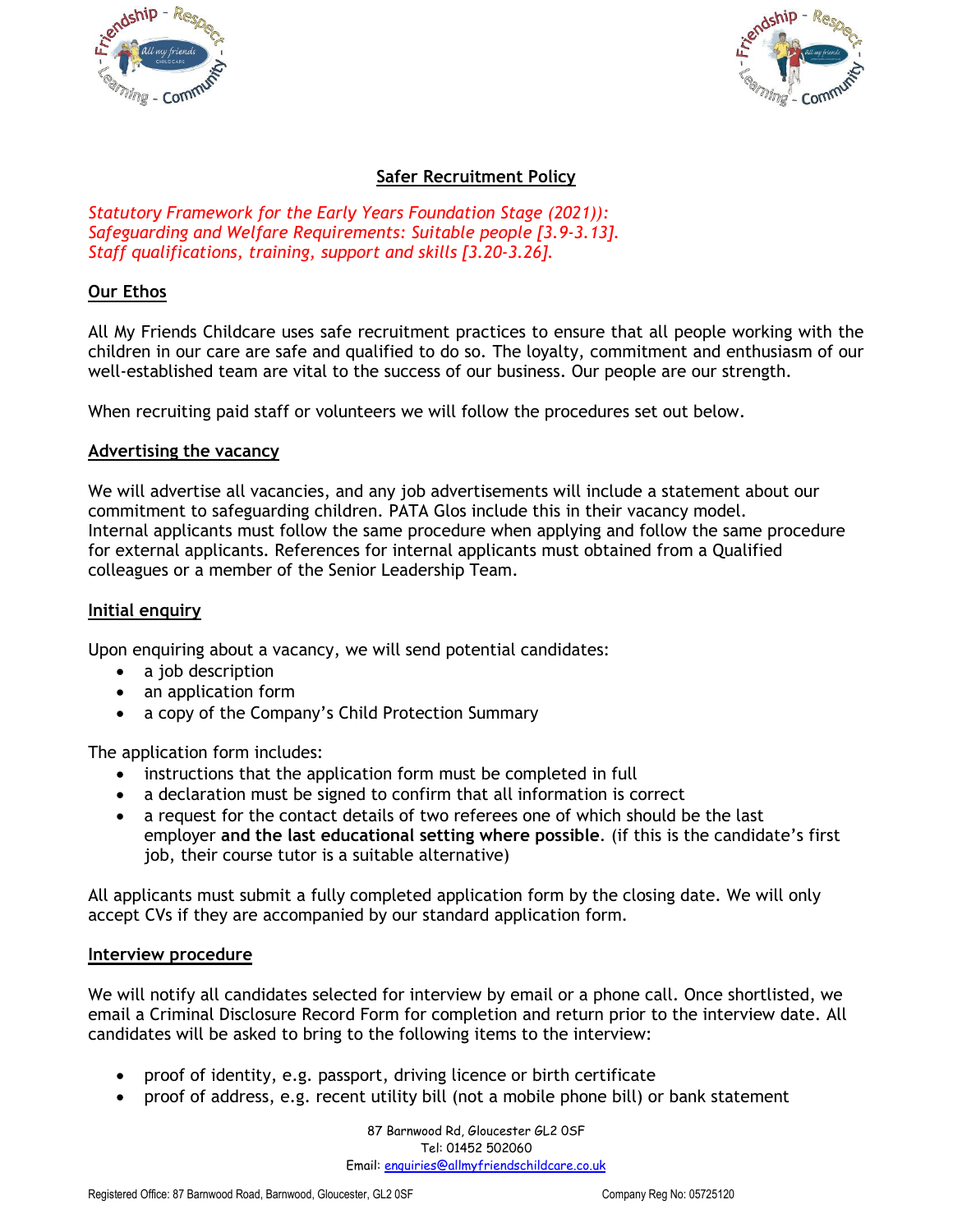



# **Safer Recruitment Policy**

*Statutory Framework for the Early Years Foundation Stage (2021)): Safeguarding and Welfare Requirements: Suitable people [3.9-3.13]. Staff qualifications, training, support and skills [3.20-3.26].* 

### **Our Ethos**

All My Friends Childcare uses safe recruitment practices to ensure that all people working with the children in our care are safe and qualified to do so. The loyalty, commitment and enthusiasm of our well-established team are vital to the success of our business. Our people are our strength.

When recruiting paid staff or volunteers we will follow the procedures set out below.

#### **Advertising the vacancy**

We will advertise all vacancies, and any job advertisements will include a statement about our commitment to safeguarding children. PATA Glos include this in their vacancy model. Internal applicants must follow the same procedure when applying and follow the same procedure for external applicants. References for internal applicants must obtained from a Qualified colleagues or a member of the Senior Leadership Team.

### **Initial enquiry**

Upon enquiring about a vacancy, we will send potential candidates:

- a job description
- an application form
- a copy of the Company's Child Protection Summary

The application form includes:

- instructions that the application form must be completed in full
- a declaration must be signed to confirm that all information is correct
- a request for the contact details of two referees one of which should be the last employer **and the last educational setting where possible**. (if this is the candidate's first job, their course tutor is a suitable alternative)

All applicants must submit a fully completed application form by the closing date. We will only accept CVs if they are accompanied by our standard application form.

#### **Interview procedure**

We will notify all candidates selected for interview by email or a phone call. Once shortlisted, we email a Criminal Disclosure Record Form for completion and return prior to the interview date. All candidates will be asked to bring to the following items to the interview:

- proof of identity, e.g. passport, driving licence or birth certificate
- proof of address, e.g. recent utility bill (not a mobile phone bill) or bank statement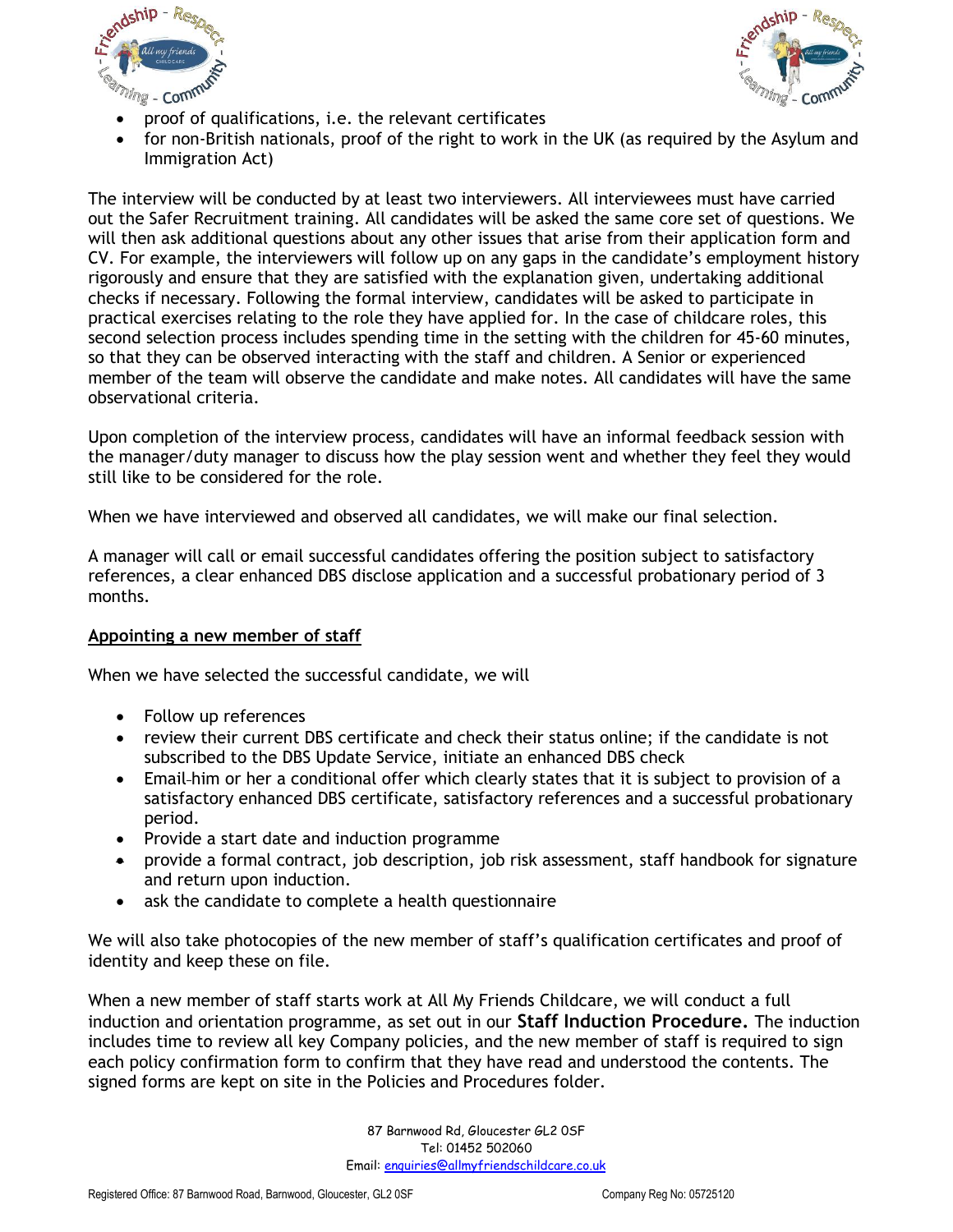



- proof of qualifications, i.e. the relevant certificates
- for non-British nationals, proof of the right to work in the UK (as required by the Asylum and Immigration Act)

The interview will be conducted by at least two interviewers. All interviewees must have carried out the Safer Recruitment training. All candidates will be asked the same core set of questions. We will then ask additional questions about any other issues that arise from their application form and CV. For example, the interviewers will follow up on any gaps in the candidate's employment history rigorously and ensure that they are satisfied with the explanation given, undertaking additional checks if necessary. Following the formal interview, candidates will be asked to participate in practical exercises relating to the role they have applied for. In the case of childcare roles, this second selection process includes spending time in the setting with the children for 45-60 minutes, so that they can be observed interacting with the staff and children. A Senior or experienced member of the team will observe the candidate and make notes. All candidates will have the same observational criteria.

Upon completion of the interview process, candidates will have an informal feedback session with the manager/duty manager to discuss how the play session went and whether they feel they would still like to be considered for the role.

When we have interviewed and observed all candidates, we will make our final selection.

A manager will call or email successful candidates offering the position subject to satisfactory references, a clear enhanced DBS disclose application and a successful probationary period of 3 months.

#### **Appointing a new member of staff**

When we have selected the successful candidate, we will

- Follow up references
- review their current DBS certificate and check their status online; if the candidate is not subscribed to the DBS Update Service, initiate an enhanced DBS check
- Email-him or her a conditional offer which clearly states that it is subject to provision of a satisfactory enhanced DBS certificate, satisfactory references and a successful probationary period.
- Provide a start date and induction programme
- provide a formal contract, job description, job risk assessment, staff handbook for signature and return upon induction.
- ask the candidate to complete a health questionnaire

We will also take photocopies of the new member of staff's qualification certificates and proof of identity and keep these on file.

When a new member of staff starts work at All My Friends Childcare, we will conduct a full induction and orientation programme, as set out in our **Staff Induction Procedure.** The induction includes time to review all key Company policies, and the new member of staff is required to sign each policy confirmation form to confirm that they have read and understood the contents. The signed forms are kept on site in the Policies and Procedures folder.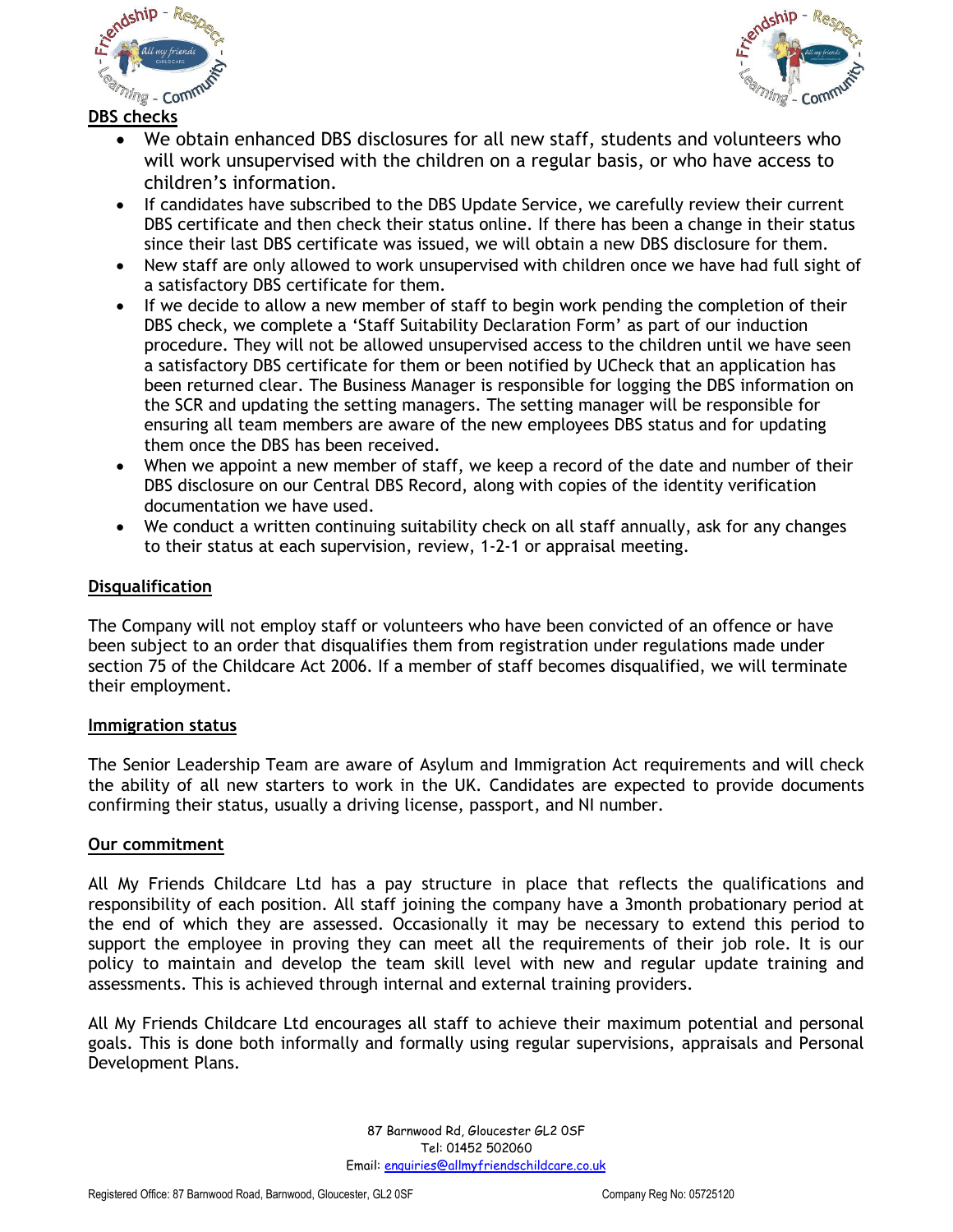



**DBS checks**

- We obtain enhanced DBS disclosures for all new staff, students and volunteers who will work unsupervised with the children on a regular basis, or who have access to children's information.
- If candidates have subscribed to the DBS Update Service, we carefully review their current DBS certificate and then check their status online. If there has been a change in their status since their last DBS certificate was issued, we will obtain a new DBS disclosure for them.
- New staff are only allowed to work unsupervised with children once we have had full sight of a satisfactory DBS certificate for them.
- If we decide to allow a new member of staff to begin work pending the completion of their DBS check, we complete a 'Staff Suitability Declaration Form' as part of our induction procedure. They will not be allowed unsupervised access to the children until we have seen a satisfactory DBS certificate for them or been notified by UCheck that an application has been returned clear. The Business Manager is responsible for logging the DBS information on the SCR and updating the setting managers. The setting manager will be responsible for ensuring all team members are aware of the new employees DBS status and for updating them once the DBS has been received.
- When we appoint a new member of staff, we keep a record of the date and number of their DBS disclosure on our Central DBS Record, along with copies of the identity verification documentation we have used.
- We conduct a written continuing suitability check on all staff annually, ask for any changes to their status at each supervision, review, 1-2-1 or appraisal meeting.

## **Disqualification**

The Company will not employ staff or volunteers who have been convicted of an offence or have been subject to an order that disqualifies them from registration under regulations made under section 75 of the Childcare Act 2006. If a member of staff becomes disqualified, we will terminate their employment.

### **Immigration status**

The Senior Leadership Team are aware of Asylum and Immigration Act requirements and will check the ability of all new starters to work in the UK. Candidates are expected to provide documents confirming their status, usually a driving license, passport, and NI number.

### **Our commitment**

All My Friends Childcare Ltd has a pay structure in place that reflects the qualifications and responsibility of each position. All staff joining the company have a 3month probationary period at the end of which they are assessed. Occasionally it may be necessary to extend this period to support the employee in proving they can meet all the requirements of their job role. It is our policy to maintain and develop the team skill level with new and regular update training and assessments. This is achieved through internal and external training providers.

All My Friends Childcare Ltd encourages all staff to achieve their maximum potential and personal goals. This is done both informally and formally using regular supervisions, appraisals and Personal Development Plans.